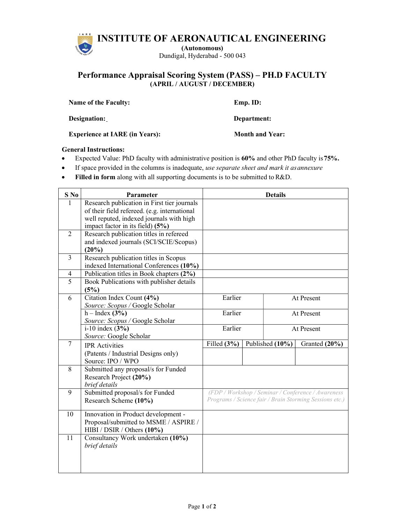INSTITUTE OF AERONAUTICAL ENGINEERING

(Autonomous) Dundigal, Hyderabad - 500 043

## Performance Appraisal Scoring System (PASS) – PH.D FACULTY (APRIL / AUGUST / DECEMBER)

| <b>Name of the Faculty:</b> | $Emp. ID:$  |
|-----------------------------|-------------|
| Designation:                | Department: |

Experience at IARE (in Years): Month and Year:

## General Instructions:

- Expected Value: PhD faculty with administrative position is 60% and other PhD faculty is 75%.
- If space provided in the columns is inadequate, use separate sheet and mark it as annexure
- Filled in form along with all supporting documents is to be submitted to R&D.

| $S$ No         | Parameter                                                       |                                                    |                                                         | <b>Details</b>  |               |  |  |  |
|----------------|-----------------------------------------------------------------|----------------------------------------------------|---------------------------------------------------------|-----------------|---------------|--|--|--|
|                | Research publication in First tier journals                     |                                                    |                                                         |                 |               |  |  |  |
|                | of their field refereed. (e.g. international                    |                                                    |                                                         |                 |               |  |  |  |
|                | well reputed, indexed journals with high                        |                                                    |                                                         |                 |               |  |  |  |
|                | impact factor in its field) (5%)                                |                                                    |                                                         |                 |               |  |  |  |
| $\mathfrak{D}$ | Research publication titles in refereed                         |                                                    |                                                         |                 |               |  |  |  |
|                | and indexed journals (SCI/SCIE/Scopus)                          |                                                    |                                                         |                 |               |  |  |  |
|                | (20%)                                                           |                                                    |                                                         |                 |               |  |  |  |
| 3              | Research publication titles in Scopus                           |                                                    |                                                         |                 |               |  |  |  |
|                | indexed International Conferences (10%)                         |                                                    |                                                         |                 |               |  |  |  |
| 4              | Publication titles in Book chapters (2%)                        |                                                    |                                                         |                 |               |  |  |  |
| $\overline{5}$ | Book Publications with publisher details                        |                                                    |                                                         |                 |               |  |  |  |
|                | (5%)                                                            |                                                    |                                                         |                 |               |  |  |  |
| 6              | Citation Index Count (4%)                                       | Earlier                                            |                                                         | At Present      |               |  |  |  |
|                | Source: Scopus / Google Scholar                                 |                                                    |                                                         |                 |               |  |  |  |
|                | $h$ – Index (3%)                                                | Earlier                                            |                                                         |                 | At Present    |  |  |  |
|                | Source: Scopus / Google Scholar                                 |                                                    |                                                         |                 |               |  |  |  |
|                | $i-10$ index $(3%)$                                             | Earlier                                            |                                                         |                 | At Present    |  |  |  |
|                | Source: Google Scholar                                          |                                                    |                                                         |                 |               |  |  |  |
| $\overline{7}$ | <b>IPR</b> Activities                                           | Filled $(3%)$                                      |                                                         | Published (10%) | Granted (20%) |  |  |  |
|                | (Patents / Industrial Designs only)                             |                                                    |                                                         |                 |               |  |  |  |
|                | Source: IPO / WPO                                               |                                                    |                                                         |                 |               |  |  |  |
| 8              | Submitted any proposal/s for Funded                             |                                                    |                                                         |                 |               |  |  |  |
|                | Research Project (20%)                                          |                                                    |                                                         |                 |               |  |  |  |
|                | brief details                                                   |                                                    |                                                         |                 |               |  |  |  |
| 9              | Submitted proposal/s for Funded                                 | (FDP / Workshop / Seminar / Conference / Awareness |                                                         |                 |               |  |  |  |
|                | Research Scheme (10%)                                           |                                                    | Programs / Science fair / Brain Storming Sessions etc.) |                 |               |  |  |  |
| 10             | Innovation in Product development -                             |                                                    |                                                         |                 |               |  |  |  |
|                | Proposal/submitted to MSME / ASPIRE /                           |                                                    |                                                         |                 |               |  |  |  |
|                |                                                                 |                                                    |                                                         |                 |               |  |  |  |
| 11             | HIBI / DSIR / Others (10%)<br>Consultancy Work undertaken (10%) |                                                    |                                                         |                 |               |  |  |  |
|                | brief details                                                   |                                                    |                                                         |                 |               |  |  |  |
|                |                                                                 |                                                    |                                                         |                 |               |  |  |  |
|                |                                                                 |                                                    |                                                         |                 |               |  |  |  |
|                |                                                                 |                                                    |                                                         |                 |               |  |  |  |